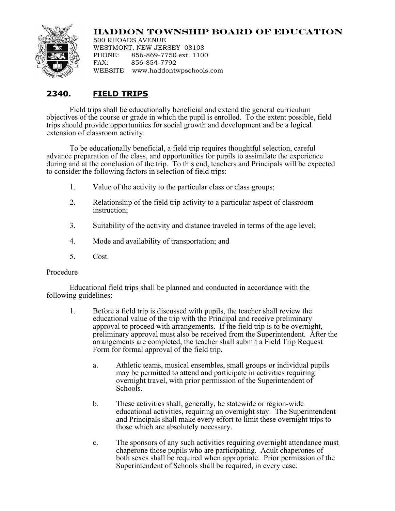## **HADDON TOWNSHIP BOARD OF EDUCATION**



500 RHOADS AVENUE WESTMONT, NEW JERSEY 08108 PHONE: 856-869-7750 ext. 1100 FAX: 856-854-7792 WEBSITE: www.haddontwpschools.com

## **2340. FIELD TRIPS**

Field trips shall be educationally beneficial and extend the general curriculum objectives of the course or grade in which the pupil is enrolled. To the extent possible, field trips should provide opportunities for social growth and development and be a logical extension of classroom activity.

To be educationally beneficial, a field trip requires thoughtful selection, careful advance preparation of the class, and opportunities for pupils to assimilate the experience during and at the conclusion of the trip. To this end, teachers and Principals will be expected to consider the following factors in selection of field trips:

- 1. Value of the activity to the particular class or class groups;
- 2. Relationship of the field trip activity to a particular aspect of classroom instruction;
- 3. Suitability of the activity and distance traveled in terms of the age level;
- 4. Mode and availability of transportation; and
- 5. Cost.

## Procedure

Educational field trips shall be planned and conducted in accordance with the following guidelines:

- 1. Before a field trip is discussed with pupils, the teacher shall review the educational value of the trip with the Principal and receive preliminary approval to proceed with arrangements. If the field trip is to be overnight, preliminary approval must also be received from the Superintendent. After the arrangements are completed, the teacher shall submit a Field Trip Request Form for formal approval of the field trip.
	- a. Athletic teams, musical ensembles, small groups or individual pupils may be permitted to attend and participate in activities requiring overnight travel, with prior permission of the Superintendent of Schools.
	- b. These activities shall, generally, be statewide or region-wide educational activities, requiring an overnight stay. The Superintendent and Principals shall make every effort to limit these overnight trips to those which are absolutely necessary.
	- c. The sponsors of any such activities requiring overnight attendance must chaperone those pupils who are participating. Adult chaperones of both sexes shall be required when appropriate. Prior permission of the Superintendent of Schools shall be required, in every case.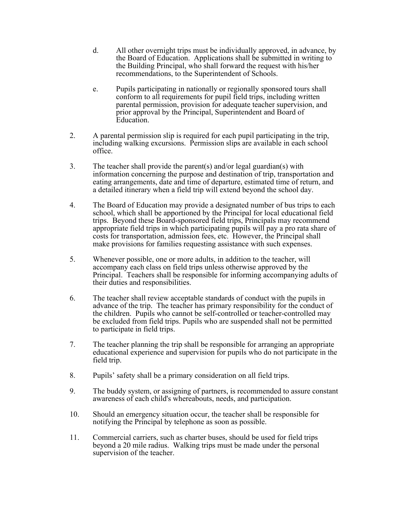- d. All other overnight trips must be individually approved, in advance, by the Board of Education. Applications shall be submitted in writing to the Building Principal, who shall forward the request with his/her recommendations, to the Superintendent of Schools.
- e. Pupils participating in nationally or regionally sponsored tours shall conform to all requirements for pupil field trips, including written parental permission, provision for adequate teacher supervision, and prior approval by the Principal, Superintendent and Board of Education.
- 2. A parental permission slip is required for each pupil participating in the trip, including walking excursions. Permission slips are available in each school office.
- 3. The teacher shall provide the parent(s) and/or legal guardian(s) with information concerning the purpose and destination of trip, transportation and eating arrangements, date and time of departure, estimated time of return, and a detailed itinerary when a field trip will extend beyond the school day.
- 4. The Board of Education may provide a designated number of bus trips to each school, which shall be apportioned by the Principal for local educational field trips. Beyond these Board-sponsored field trips, Principals may recommend appropriate field trips in which participating pupils will pay a pro rata share of costs for transportation, admission fees, etc. However, the Principal shall make provisions for families requesting assistance with such expenses.
- 5. Whenever possible, one or more adults, in addition to the teacher, will accompany each class on field trips unless otherwise approved by the Principal. Teachers shall be responsible for informing accompanying adults of their duties and responsibilities.
- 6. The teacher shall review acceptable standards of conduct with the pupils in advance of the trip. The teacher has primary responsibility for the conduct of the children. Pupils who cannot be self-controlled or teacher-controlled may be excluded from field trips. Pupils who are suspended shall not be permitted to participate in field trips.
- 7. The teacher planning the trip shall be responsible for arranging an appropriate educational experience and supervision for pupils who do not participate in the field trip.
- 8. Pupils' safety shall be a primary consideration on all field trips.
- 9. The buddy system, or assigning of partners, is recommended to assure constant awareness of each child's whereabouts, needs, and participation.
- 10. Should an emergency situation occur, the teacher shall be responsible for notifying the Principal by telephone as soon as possible.
- 11. Commercial carriers, such as charter buses, should be used for field trips beyond a 20 mile radius. Walking trips must be made under the personal supervision of the teacher.